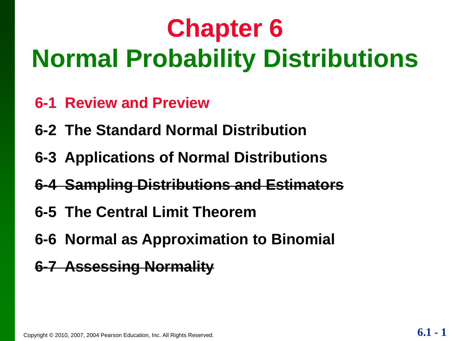## **Chapter 6 Normal Probability Distributions**

- **6-1 Review and Preview**
- **6-2 The Standard Normal Distribution**
- **6-3 Applications of Normal Distributions**
- **6-4 Sampling Distributions and Estimators**
- **6-5 The Central Limit Theorem**
- **6-6 Normal as Approximation to Binomial**
- **6-7 Assessing Normality**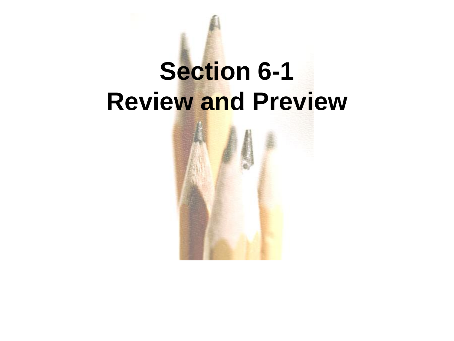## **Section 6-1 Review and Preview**

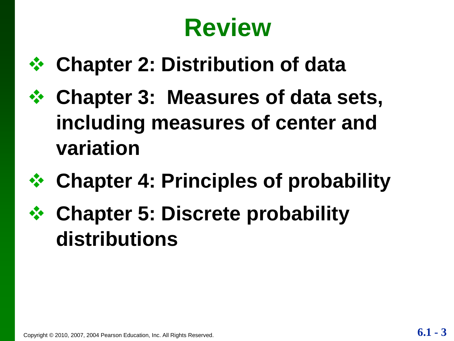## **Review**

- **Chapter 2: Distribution of data**
- **Chapter 3: Measures of data sets, including measures of center and variation**
- **Chapter 4: Principles of probability**
- **Chapter 5: Discrete probability distributions**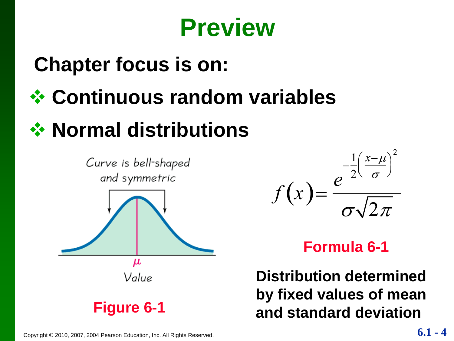## **Preview**

## **Chapter focus is on:**

**Continuous random variables**

## **☆ Normal distributions**





#### **Formula 6-1**

**Distribution determined by fixed values of mean and standard deviation**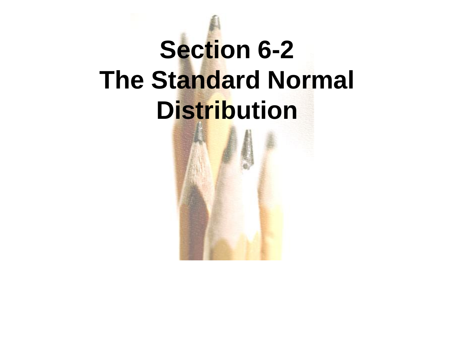## **Section 6-2 The Standard Normal Distribution**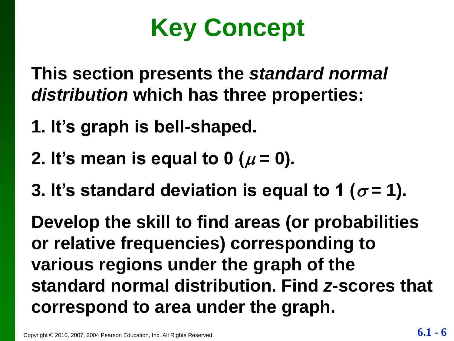## **Key Concept**

**This section presents the** *standard normal distribution* **which has three properties:**

- **1. It's graph is bell-shaped.**
- **2.** It's mean is equal to 0 ( $\mu$  = 0).
- **3. It's standard deviation is equal to 1 (** $\sigma$  **= 1).**

**Develop the skill to find areas (or probabilities or relative frequencies) corresponding to various regions under the graph of the standard normal distribution. Find** *z***-scores that correspond to area under the graph.**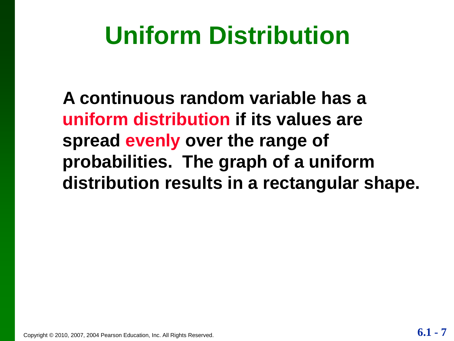## **Uniform Distribution**

**A continuous random variable has a uniform distribution if its values are spread evenly over the range of probabilities. The graph of a uniform distribution results in a rectangular shape.**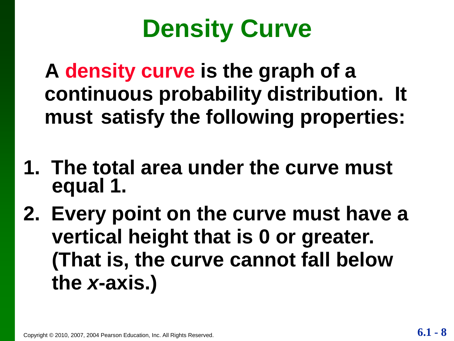## **Density Curve**

**A density curve is the graph of a continuous probability distribution. It must satisfy the following properties:**

- **1. The total area under the curve must equal 1.**
- **2. Every point on the curve must have a vertical height that is 0 or greater. (That is, the curve cannot fall below the** *x***-axis.)**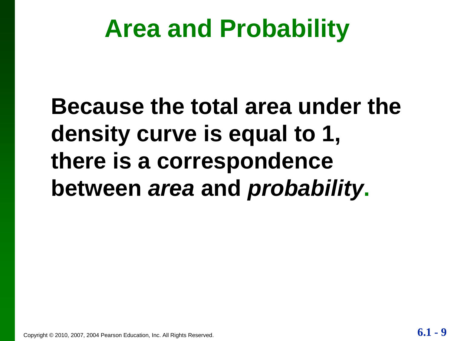## **Area and Probability**

## **Because the total area under the density curve is equal to 1, there is a correspondence between** *area* **and** *probability***.**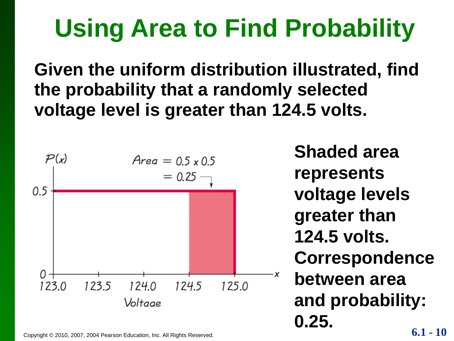## **Using Area to Find Probability**

**Given the uniform distribution illustrated, find the probability that a randomly selected voltage level is greater than 124.5 volts.**



Copyright © 2010, 2007, 2004 Pearson Education, Inc. All Rights Reserved. **6.1 - 10**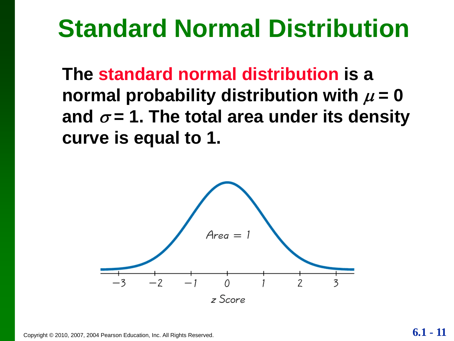## **Standard Normal Distribution**

**The standard normal distribution is a**  normal probability distribution with  $\mu = 0$ and  $\sigma$  = 1. The total area under its density **curve is equal to 1.**

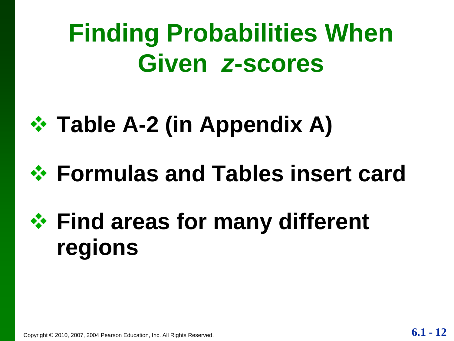## **Finding Probabilities When Given** *z***-scores**



## **Formulas and Tables insert card**

## **Find areas for many different regions**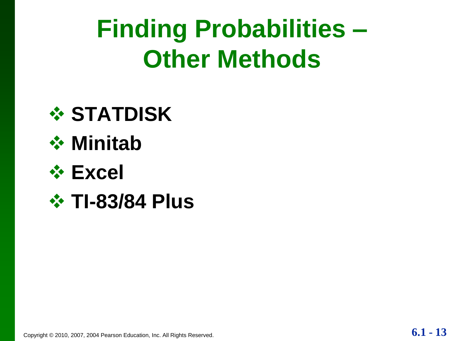## **Finding Probabilities – Other Methods**





#### **Excel**

 $\div$  **TI-83/84 Plus**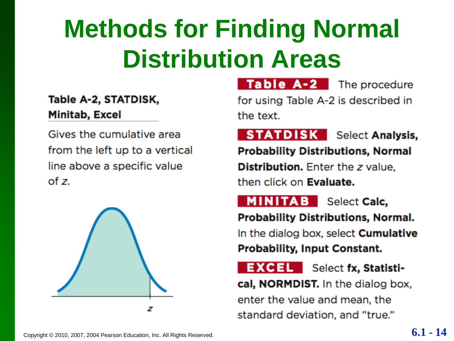## **Methods for Finding Normal Distribution Areas**

#### Table A-2, STATDISK, **Minitab, Excel**

Gives the cumulative area from the left up to a vertical line above a specific value  $of z.$ 



Table A-2 The procedure

for using Table A-2 is described in the text.

**STATDISK** Select Analysis, **Probability Distributions, Normal Distribution.** Enter the z value. then click on **Evaluate.** 

**MINITAB** Select Calc,

**Probability Distributions, Normal.** In the dialog box, select **Cumulative Probability, Input Constant.** 

**EXCEL** Select fx, Statisti-

cal, NORMDIST. In the dialog box,

enter the value and mean, the standard deviation, and "true."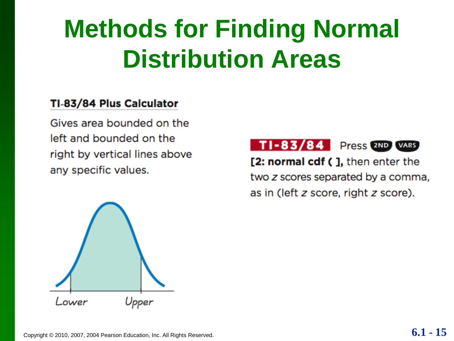## **Methods for Finding Normal Distribution Areas**

#### TI-83/84 Plus Calculator

Gives area bounded on the left and bounded on the right by vertical lines above any specific values.



[2: normal cdf ( ], then enter the two z scores separated by a comma, as in (left z score, right z score).

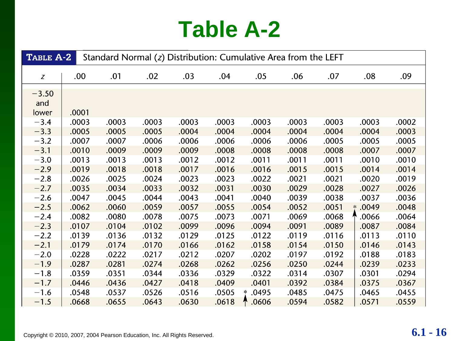## **Table A-2**

| TABLE A-2               |       | Standard Normal (z) Distribution: Cumulative Area from the LEFT |       |       |       |                 |       |       |                 |       |  |
|-------------------------|-------|-----------------------------------------------------------------|-------|-------|-------|-----------------|-------|-------|-----------------|-------|--|
| Z                       | .00.  | .01                                                             | .02   | .03   | .04   | .05             | .06   | .07   | .08             | .09   |  |
| $-3.50$<br>and<br>lower | .0001 |                                                                 |       |       |       |                 |       |       |                 |       |  |
| $-3.4$                  | .0003 | .0003                                                           | .0003 | .0003 | .0003 | .0003           | .0003 | .0003 | .0003           | .0002 |  |
| $-3.3$                  | .0005 | .0005                                                           | .0005 | .0004 | .0004 | .0004           | .0004 | .0004 | .0004           | .0003 |  |
| $-3.2$                  | .0007 | .0007                                                           | .0006 | .0006 | .0006 | .0006           | .0006 | .0005 | .0005           | .0005 |  |
| $-3.1$                  | .0010 | .0009                                                           | .0009 | .0009 | .0008 | .0008           | .0008 | .0008 | .0007           | .0007 |  |
| $-3.0$                  | .0013 | .0013                                                           | .0013 | .0012 | .0012 | .0011           | .0011 | .0011 | .0010           | .0010 |  |
| $-2.9$                  | .0019 | .0018                                                           | .0018 | .0017 | .0016 | .0016           | .0015 | .0015 | .0014           | .0014 |  |
| $-2.8$                  | .0026 | .0025                                                           | .0024 | .0023 | .0023 | .0022           | .0021 | .0021 | .0020           | .0019 |  |
| $-2.7$                  | .0035 | .0034                                                           | .0033 | .0032 | .0031 | .0030           | .0029 | .0028 | .0027           | .0026 |  |
| $-2.6$                  | .0047 | .0045                                                           | .0044 | .0043 | .0041 | .0040           | .0039 | .0038 | .0037           | .0036 |  |
| $-2.5$                  | .0062 | .0060                                                           | .0059 | .0057 | .0055 | .0054           | .0052 | .0051 | .0049<br>$\ast$ | .0048 |  |
| $-2.4$                  | .0082 | .0080                                                           | .0078 | .0075 | .0073 | .0071           | .0069 | .0068 | .0066           | .0064 |  |
| $-2.3$                  | .0107 | .0104                                                           | .0102 | .0099 | .0096 | .0094           | .0091 | .0089 | .0087           | .0084 |  |
| $-2.2$                  | .0139 | .0136                                                           | .0132 | .0129 | .0125 | .0122           | .0119 | .0116 | .0113           | .0110 |  |
| $-2.1$                  | .0179 | .0174                                                           | .0170 | .0166 | .0162 | .0158           | .0154 | .0150 | .0146           | .0143 |  |
| $-2.0$                  | .0228 | .0222                                                           | .0217 | .0212 | .0207 | .0202           | .0197 | .0192 | .0188           | .0183 |  |
| $-1.9$                  | .0287 | .0281                                                           | .0274 | .0268 | .0262 | .0256           | .0250 | .0244 | .0239           | .0233 |  |
| $-1.8$                  | .0359 | .0351                                                           | .0344 | .0336 | .0329 | .0322           | .0314 | .0307 | .0301           | .0294 |  |
| $-1.7$                  | .0446 | .0436                                                           | .0427 | .0418 | .0409 | .0401           | .0392 | .0384 | .0375           | .0367 |  |
| $-1.6$                  | .0548 | .0537                                                           | .0526 | .0516 | .0505 | .0495<br>$\ast$ | .0485 | .0475 | .0465           | .0455 |  |
| $-1.5$                  | .0668 | .0655                                                           | .0643 | .0630 | .0618 | .0606           | .0594 | .0582 | .0571           | .0559 |  |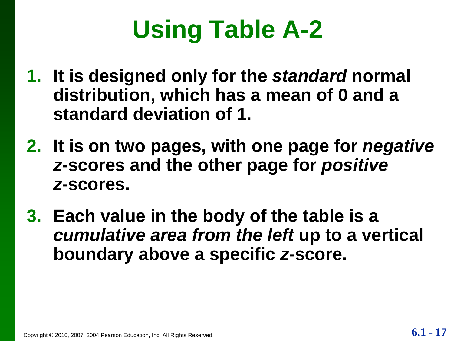## **Using Table A-2**

- **1. It is designed only for the** *standard* **normal distribution, which has a mean of 0 and a standard deviation of 1.**
- **2. It is on two pages, with one page for** *negative z***-scores and the other page for** *positive z***-scores.**
- **3. Each value in the body of the table is a**  *cumulative area from the left* **up to a vertical boundary above a specific** *z***-score.**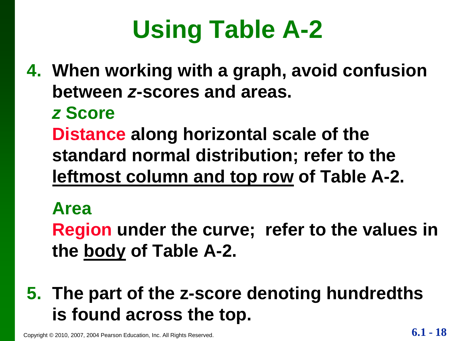## **Using Table A-2**

**4. When working with a graph, avoid confusion between** *z***-scores and areas.**

#### *z* **Score**

**Distance along horizontal scale of the standard normal distribution; refer to the leftmost column and top row of Table A-2.**

#### **Area**

**Region under the curve; refer to the values in the body of Table A-2.**

### **5. The part of the z-score denoting hundredths is found across the top.**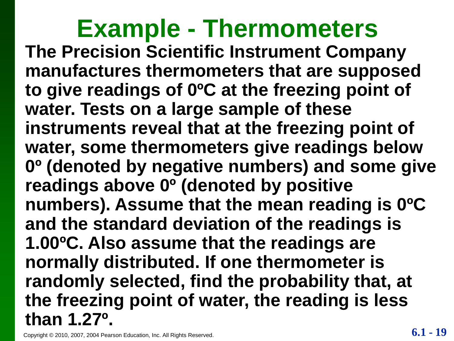#### **The Precision Scientific Instrument Company manufactures thermometers that are supposed to give readings of 0ºC at the freezing point of water. Tests on a large sample of these instruments reveal that at the freezing point of water, some thermometers give readings below 0º (denoted by negative numbers) and some give readings above 0º (denoted by positive numbers). Assume that the mean reading is 0ºC and the standard deviation of the readings is 1.00ºC. Also assume that the readings are normally distributed. If one thermometer is randomly selected, find the probability that, at the freezing point of water, the reading is less than 1.27º. Example - Thermometers**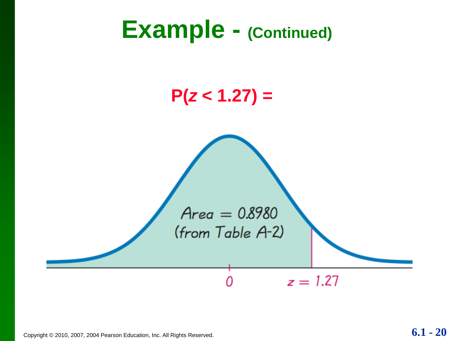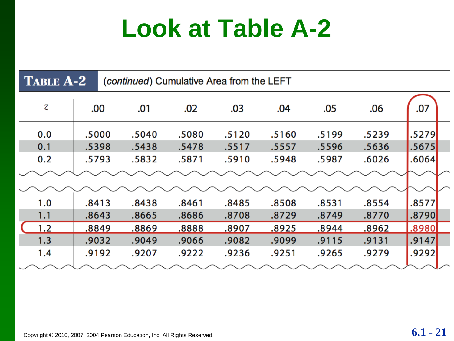## **Look at Table A-2**

| <b>TABLE A-2</b><br>(continued) Cumulative Area from the LEFT |       |       |       |       |       |       |       |       |  |
|---------------------------------------------------------------|-------|-------|-------|-------|-------|-------|-------|-------|--|
| Z                                                             | .00   | .01   | .02   | .03   | .04   | .05   | .06   | .07   |  |
| 0.0                                                           | .5000 | .5040 | .5080 | .5120 | .5160 | .5199 | .5239 | .5279 |  |
| 0.1                                                           | .5398 | .5438 | .5478 | .5517 | .5557 | .5596 | .5636 | .5675 |  |
| 0.2                                                           | .5793 | .5832 | .5871 | .5910 | .5948 | .5987 | .6026 | .6064 |  |
|                                                               |       |       |       |       |       |       |       |       |  |
|                                                               |       |       |       |       |       |       |       |       |  |
| 1.0                                                           | .8413 | .8438 | .8461 | .8485 | .8508 | .8531 | .8554 | .8577 |  |
| 1.1                                                           | .8643 | .8665 | .8686 | .8708 | .8729 | .8749 | .8770 | .8790 |  |
| 1.2                                                           | .8849 | .8869 | .8888 | .8907 | .8925 | .8944 | .8962 | .8980 |  |
| 1.3                                                           | .9032 | .9049 | .9066 | .9082 | .9099 | .9115 | .9131 | .9147 |  |
| 1.4                                                           | .9192 | .9207 | .9222 | .9236 | .9251 | .9265 | .9279 | .9292 |  |
|                                                               |       |       |       |       |       |       |       |       |  |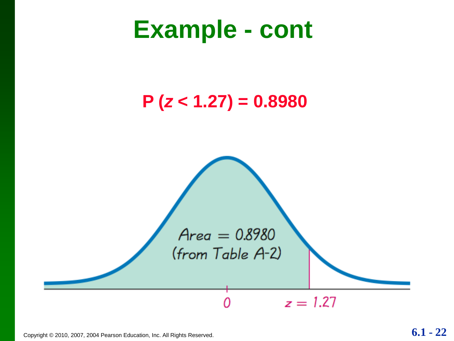## **Example - cont**

#### **P (***z* **< 1.27) = 0.8980**

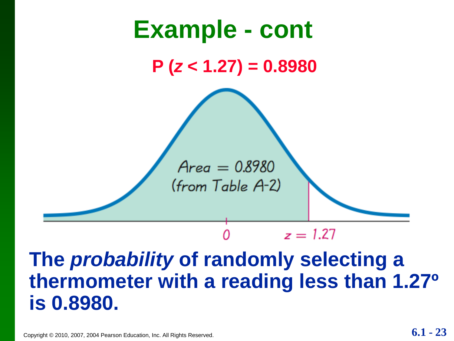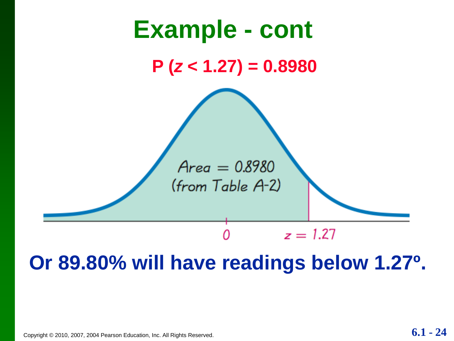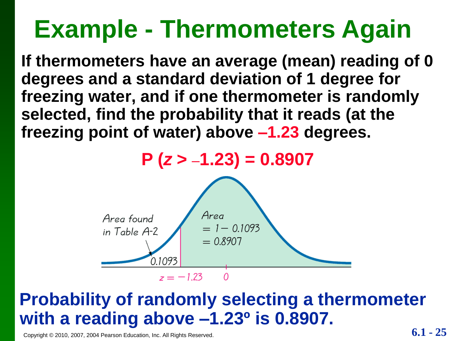## **Example - Thermometers Again**

**If thermometers have an average (mean) reading of 0 degrees and a standard deviation of 1 degree for freezing water, and if one thermometer is randomly selected, find the probability that it reads (at the freezing point of water) above –1.23 degrees.** 

**P (***z* **> –1.23) = 0.8907**



#### **Probability of randomly selecting a thermometer with a reading above –1.23º is 0.8907.**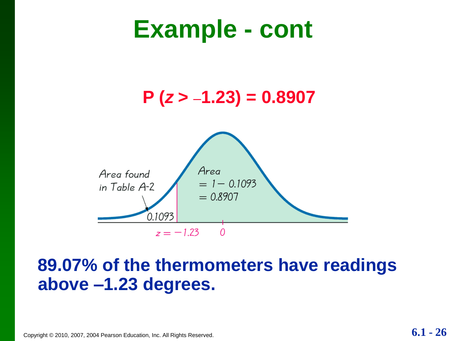## **Example - cont**



#### **89.07% of the thermometers have readings above –1.23 degrees.**

 $\Omega$ 

Copyright © 2010, 2007, 2004 Pearson Education, Inc. All Rights Reserved. **6.1 -**  $26$ 

 $0.1093$ 

 $z = -1.23$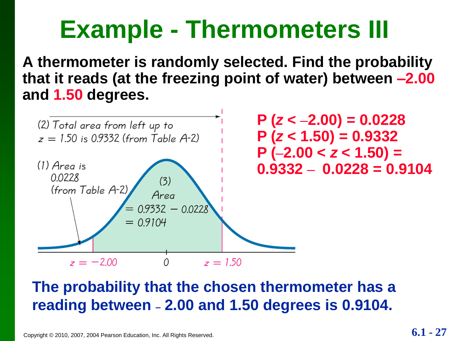## **Example - Thermometers III**

**A thermometer is randomly selected. Find the probability that it reads (at the freezing point of water) between –2.00 and 1.50 degrees.** 



#### **The probability that the chosen thermometer has a reading between – 2.00 and 1.50 degrees is 0.9104.**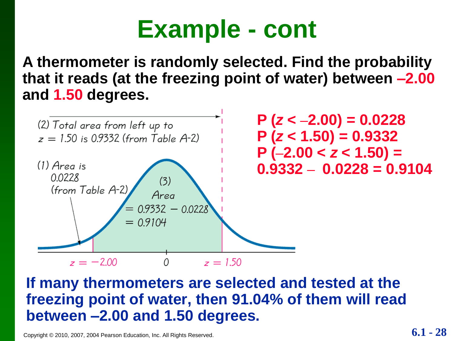## **Example - cont**

**A thermometer is randomly selected. Find the probability that it reads (at the freezing point of water) between –2.00 and 1.50 degrees.** 



**If many thermometers are selected and tested at the freezing point of water, then 91.04% of them will read between –2.00 and 1.50 degrees.**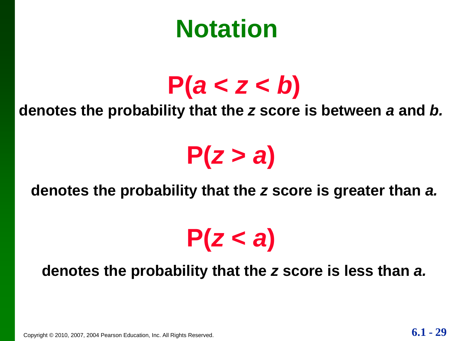## **Notation**

## $P(a < z < b)$

#### **denotes the probability that the** *z* **score is between** *a* **and** *b.*

## $P(z > a)$

#### **denotes the probability that the** *z* **score is greater than** *a.*

## $P(Z < a)$

#### **denotes the probability that the** *z* **score is less than** *a.*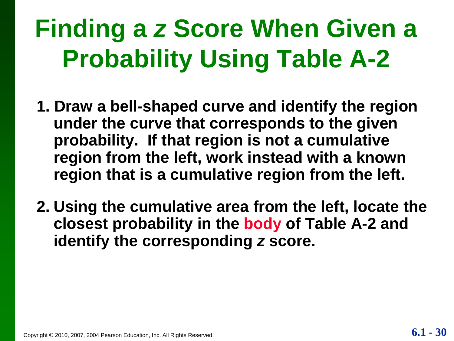## **Finding a** *z* **Score When Given a Probability Using Table A-2**

- **1. Draw a bell-shaped curve and identify the region under the curve that corresponds to the given probability. If that region is not a cumulative region from the left, work instead with a known region that is a cumulative region from the left.**
- **2. Using the cumulative area from the left, locate the closest probability in the body of Table A-2 and identify the corresponding** *z* **score.**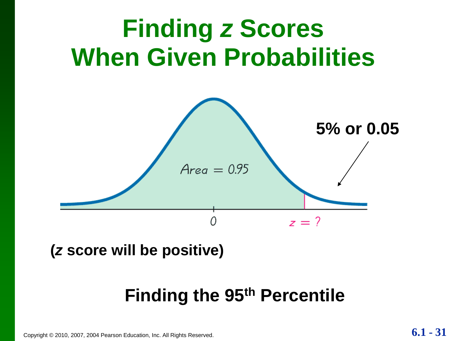

**(***z* **score will be positive)**

#### **Finding the 95th Percentile**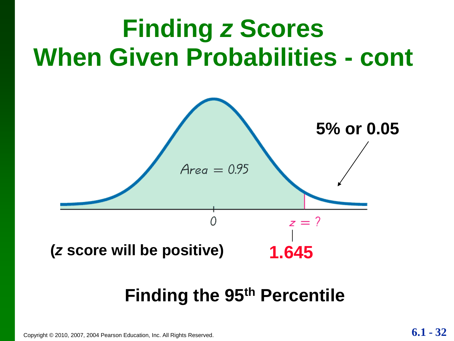# **Finding the 95th Percentile**



## **Finding** *z* **Scores When Given Probabilities - cont**

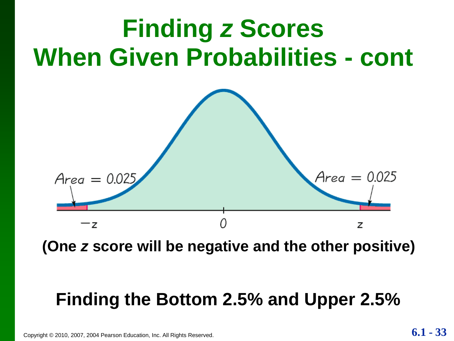

**(One** *z* **score will be negative and the other positive)**

#### **Finding the Bottom 2.5% and Upper 2.5%**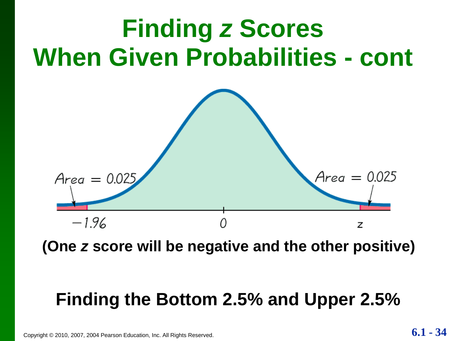

**(One** *z* **score will be negative and the other positive)**

#### **Finding the Bottom 2.5% and Upper 2.5%**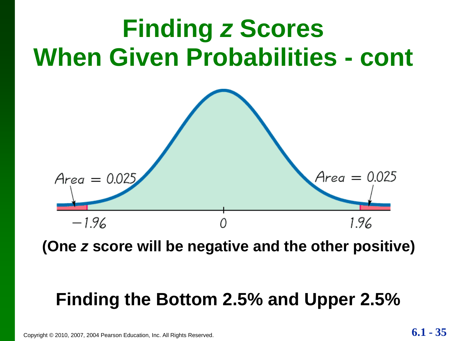

**(One** *z* **score will be negative and the other positive)**

#### **Finding the Bottom 2.5% and Upper 2.5%**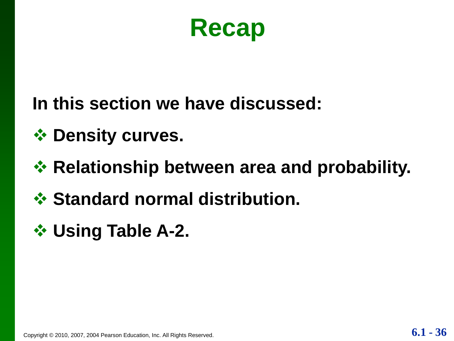

- **In this section we have discussed:**
- **☆ Density curves.**
- **☆ Relationship between area and probability.**
- *<u>❖</u>* **Standard normal distribution.**
- **Using Table A-2.**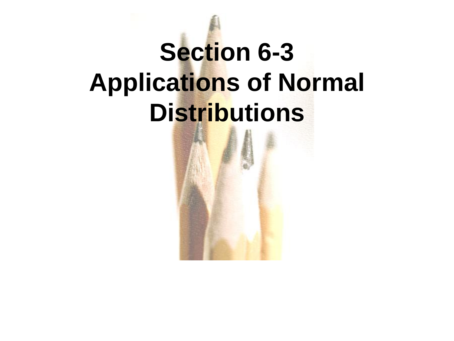## **Section 6-3 Applications of Normal Distributions**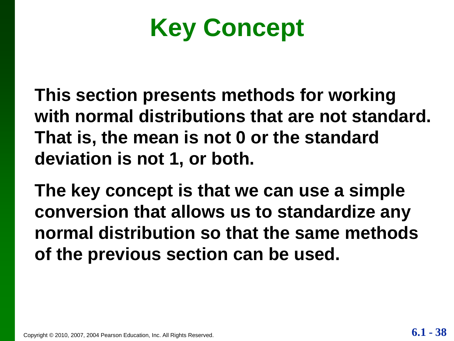**Key Concept**

**This section presents methods for working with normal distributions that are not standard. That is, the mean is not 0 or the standard deviation is not 1, or both.**

**The key concept is that we can use a simple conversion that allows us to standardize any normal distribution so that the same methods of the previous section can be used.**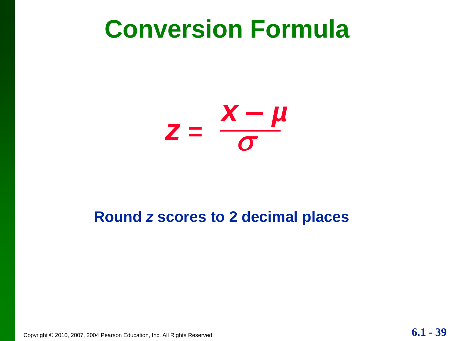## **Conversion Formula**



#### **Round** *z* **scores to 2 decimal places**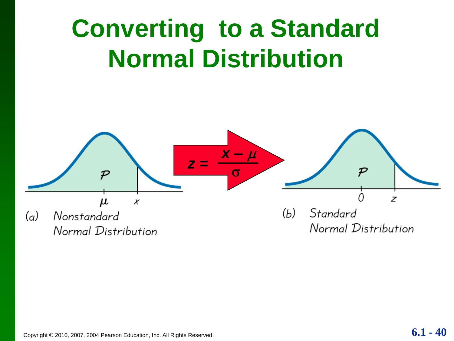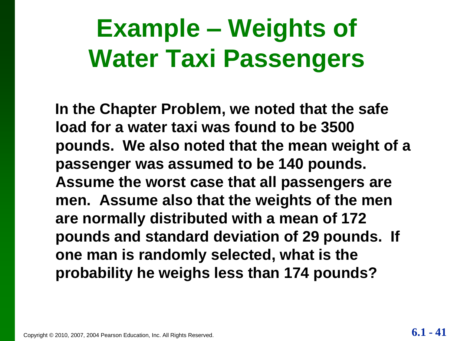## **Example – Weights of Water Taxi Passengers**

**In the Chapter Problem, we noted that the safe load for a water taxi was found to be 3500 pounds. We also noted that the mean weight of a passenger was assumed to be 140 pounds. Assume the worst case that all passengers are men. Assume also that the weights of the men are normally distributed with a mean of 172 pounds and standard deviation of 29 pounds. If one man is randomly selected, what is the probability he weighs less than 174 pounds?**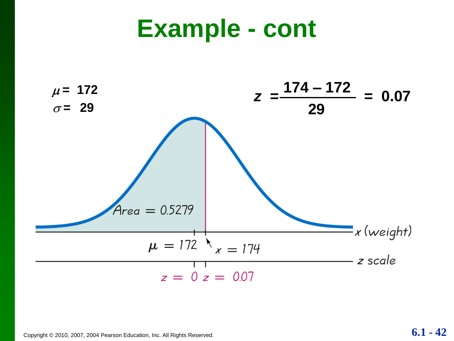## **Example - cont**



$$
6.1-42
$$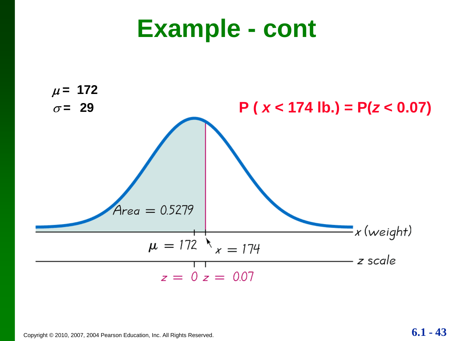## **Example - cont**

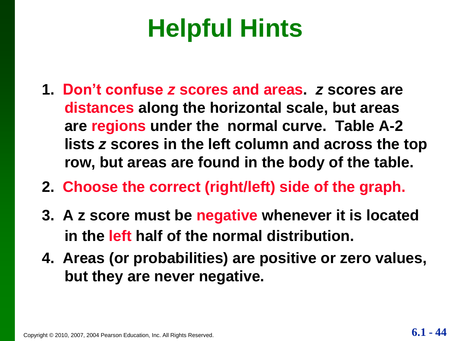## **Helpful Hints**

- **1. Don't confuse** *z* **scores and areas.** *z* **scores are distances along the horizontal scale, but areas are regions under the normal curve. Table A-2 lists** *z* **scores in the left column and across the top row, but areas are found in the body of the table.**
- **2. Choose the correct (right/left) side of the graph.**
- **3. A z score must be negative whenever it is located in the left half of the normal distribution.**
- **4. Areas (or probabilities) are positive or zero values, but they are never negative.**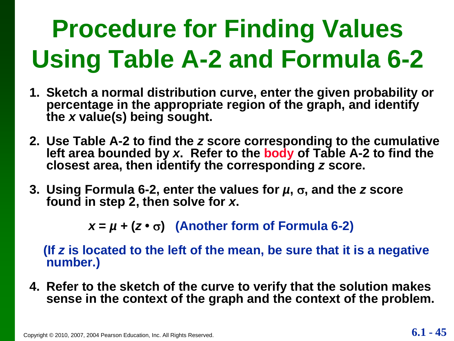## **Procedure for Finding Values Using Table A-2 and Formula 6-2**

- **1. Sketch a normal distribution curve, enter the given probability or percentage in the appropriate region of the graph, and identify the** *x* **value(s) being sought.**
- **2. Use Table A-2 to find the** *z* **score corresponding to the cumulative left area bounded by** *x***. Refer to the body of Table A-2 to find the closest area, then identify the corresponding** *z* **score.**
- **3. Using Formula 6-2, enter the values for** *μ***, σ, and the** *z* **score found in step 2, then solve for** *x***.**

 $x = \mu + (z \cdot \sigma)$  (Another form of Formula 6-2)

**(If** *z* **is located to the left of the mean, be sure that it is a negative number.)**

**4. Refer to the sketch of the curve to verify that the solution makes sense in the context of the graph and the context of the problem.**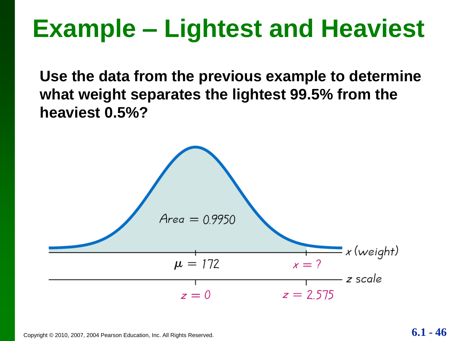## **Example – Lightest and Heaviest**

**Use the data from the previous example to determine what weight separates the lightest 99.5% from the heaviest 0.5%?** 

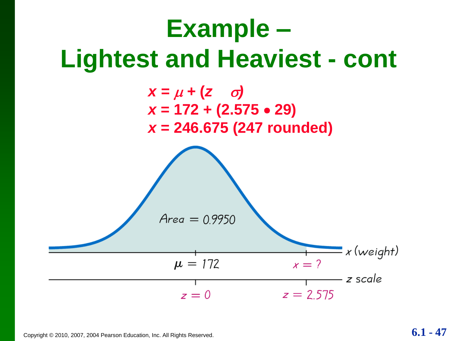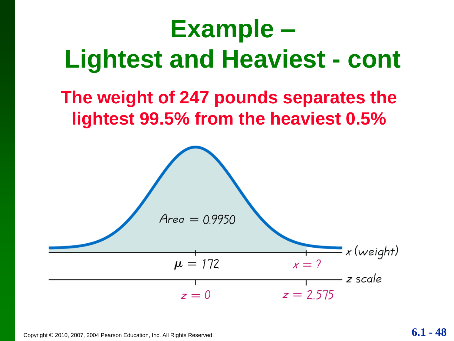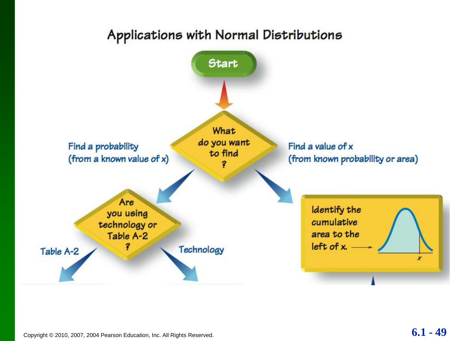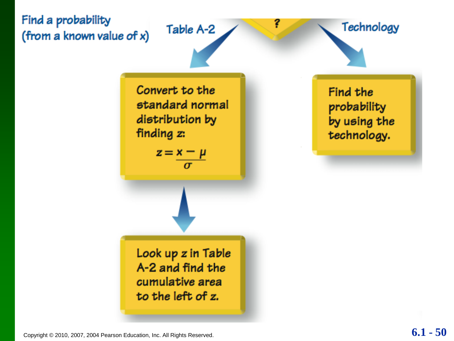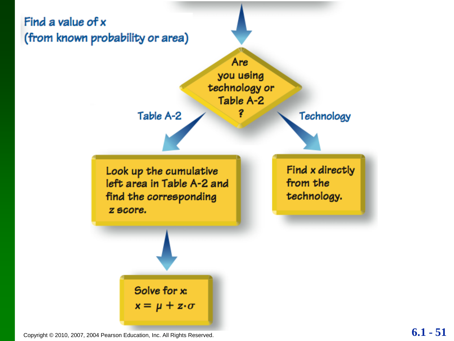